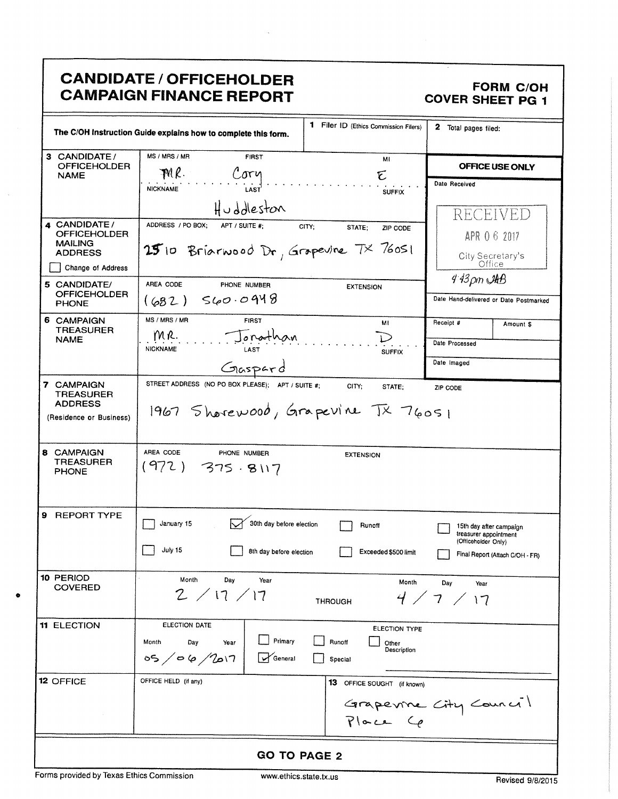# CANDIDATE / OFFICEHOLDER<br>CAMPAIGN FINANCE REPORT COVER SHEET PG 1 **CAMPAIGN FINANCE REPORT**

| CANDIDATE / OFFICEHOLDER<br>FORM C/OH<br>COVER SHEET PG 1<br>  CAMPAIGN FINANCE REPORT                                                                                                                                                                                                                                                                                                                                                                                                                                                                                                                                                                                                                                                                      |  |  |  |
|-------------------------------------------------------------------------------------------------------------------------------------------------------------------------------------------------------------------------------------------------------------------------------------------------------------------------------------------------------------------------------------------------------------------------------------------------------------------------------------------------------------------------------------------------------------------------------------------------------------------------------------------------------------------------------------------------------------------------------------------------------------|--|--|--|
| 1 Filer ID (Ethics Commission Filers) 2 Total pages filed:<br>The C/OH Instruction Guide explains how to complete this form.<br>3 CANDIDATE/<br>OFFICEHOLDER<br>NAME<br>MS / MRS / MR<br><b>FIRST</b><br><u> 2006 - Jan Barnett Barnett, amerikansk politiker (dødsfallen i 1980) og dette forskeller og dødsfallen og døds</u><br>OFFICE USE ONLY<br>$MNR$ .<br>Date Received<br>Huddleston<br>-------------<br>  RECEIVED<br>4 CANDIDATE/<br>OFFICEHOLDER<br>MAILING<br>MAILING<br>ADDRESS 25 10 Briarwood Dr, Grapevine 7× 76051<br>APR 0 6 2017                                                                                                                                                                                                         |  |  |  |
| $ 25$ 10 Briarwood Dr, Grapevine $7 \times 76$ 051<br>City Secretary's<br>Office<br>Change of Address<br>5 CANDIDATE/<br>OFFICEHOLDER<br>PHONE<br>$4.43 \rho m$ $\mathcal{A}AB$<br>EXTENSION<br>AREA CODE<br>PHONE NUMBER<br>$3 (682)$ S60.0948<br>Date Hand-delivered or Date Postmarked<br>MS / MRS / MR<br>6 CAMPAIGN<br>TREASURER<br>NAME<br>Receipt # Amount \$<br><b>FIRST</b><br>MR. Jonathan<br>Date Processed<br>$\cdots \cdots \cdots \cdots \cdots$<br>Date Imaged                                                                                                                                                                                                                                                                               |  |  |  |
| Gaspard<br>STREET ADDRESS (NO PO BOX PLEASE); APT / SUITE #; CITY; STATE; ZIP CODE<br><b>7 CAMPAIGN<br/>TREASURER<br/>ADDRESS</b><br>1967 Shorewood, Grapevine TX 76051<br>(Residence or Business)<br>8 CAMPAIGN<br>TREASURER<br>PHONE<br>AREA CODE PHONE NUMBER<br>(972) 375 · 8117<br><b>EXTENSION</b>                                                                                                                                                                                                                                                                                                                                                                                                                                                    |  |  |  |
| 9 REPORT TYPE<br>30th day before election <b>Product</b> Runoff<br>$\sqrt{ }$ January 15<br>15th day after campaign<br>treasurer appointment<br>(Officeholder Only)<br>$\Box$ July 15<br>8th day before election Exceeded \$500 limit<br>Final Report (Attach C/OH - FR)<br>10 PERIOD<br>COVERED<br>Month Day Year<br>Month Day Year<br>2 / 17 / 17<br>4/7/17<br><b>THROUGH</b>                                                                                                                                                                                                                                                                                                                                                                             |  |  |  |
| 11 ELECTION<br>ELECTION DATE<br>ELECTION TYPE<br>Month Day Year Primary Runoff Other Description<br>$\frac{1}{2}$ OS / O / 2017 General Special Special<br>$\begin{array}{cccccccccc} \multicolumn{3}{c}{} & \multicolumn{3}{c}{} & \multicolumn{3}{c}{} & \multicolumn{3}{c}{} & \multicolumn{3}{c}{} & \multicolumn{3}{c}{} & \multicolumn{3}{c}{} & \multicolumn{3}{c}{} & \multicolumn{3}{c}{} & \multicolumn{3}{c}{} & \multicolumn{3}{c}{} & \multicolumn{3}{c}{} & \multicolumn{3}{c}{} & \multicolumn{3}{c}{} & \multicolumn{3}{c}{} & \multicolumn{3}{c}{} & \multicolumn{3}{c}{} & \multicolumn{3}{c}{} & \multicolumn{3}{c}{} & \mult$<br>OFFICE HELD (if any)<br>12 OFFICE<br>13 OFFICE SOUGHT (if known)<br>Grapevine City Council<br>Place Ce |  |  |  |
| <b>GO TO PAGE 2</b><br>Forms provided by Texas Ethics Commission<br>www.ethics.state.tx.us<br>Revised 9/8/2015                                                                                                                                                                                                                                                                                                                                                                                                                                                                                                                                                                                                                                              |  |  |  |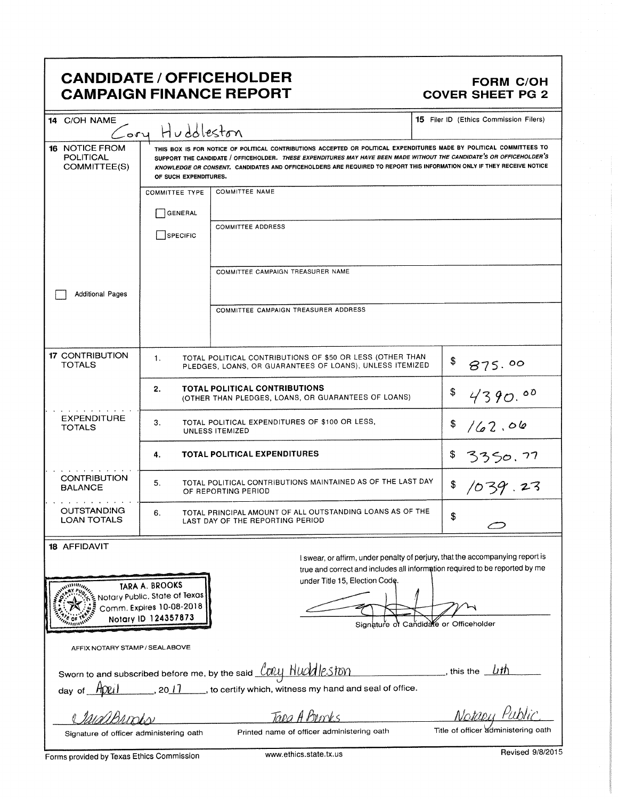## CANDIDATE / OFFICEHOLDER FORM C/OH CAMPAIGN FINANCE REPORT COVER SHEET PG 2

| 14 C/OH NAME                                              | Cory Huddleston                                                                                         |                                                                                                                                                                                                                                                                                                                                                                         | <b>15</b> Filer ID (Ethics Commission Filers)                                                                                                                |
|-----------------------------------------------------------|---------------------------------------------------------------------------------------------------------|-------------------------------------------------------------------------------------------------------------------------------------------------------------------------------------------------------------------------------------------------------------------------------------------------------------------------------------------------------------------------|--------------------------------------------------------------------------------------------------------------------------------------------------------------|
| <b>16 NOTICE FROM</b><br><b>POLITICAL</b><br>COMMITTEE(S) | OF SUCH EXPENDITURES.                                                                                   | THIS BOX IS FOR NOTICE OF POLITICAL CONTRIBUTIONS ACCEPTED OR POLITICAL EXPENDITURES MADE BY POLITICAL COMMITTEES TO<br>SUPPORT THE CANDIDATE / OFFICEHOLDER. THESE EXPENDITURES MAY HAVE BEEN MADE WITHOUT THE CANDIDATE'S OR OFFICEHOLDER'S<br>KNOWLEDGE OR CONSENT. CANDIDATES AND OFFICEHOLDERS ARE REQUIRED TO REPORT THIS INFORMATION ONLY IF THEY RECEIVE NOTICE |                                                                                                                                                              |
|                                                           | <b>COMMITTEE TYPE</b><br><b>GENERAL</b><br>SPECIFIC                                                     | <b>COMMITTEE NAME</b><br><b>COMMITTEE ADDRESS</b>                                                                                                                                                                                                                                                                                                                       |                                                                                                                                                              |
| <b>Additional Pages</b>                                   |                                                                                                         | COMMITTEE CAMPAIGN TREASURER NAME                                                                                                                                                                                                                                                                                                                                       |                                                                                                                                                              |
|                                                           |                                                                                                         | COMMITTEE CAMPAIGN TREASURER ADDRESS                                                                                                                                                                                                                                                                                                                                    |                                                                                                                                                              |
| <b>17 CONTRIBUTION</b><br><b>TOTALS</b>                   | 1.                                                                                                      | TOTAL POLITICAL CONTRIBUTIONS OF \$50 OR LESS (OTHER THAN<br>PLEDGES, LOANS, OR GUARANTEES OF LOANS), UNLESS ITEMIZED                                                                                                                                                                                                                                                   | \$<br>875.00                                                                                                                                                 |
|                                                           | 2.                                                                                                      | TOTAL POLITICAL CONTRIBUTIONS<br>(OTHER THAN PLEDGES, LOANS, OR GUARANTEES OF LOANS)                                                                                                                                                                                                                                                                                    | \$<br>4390.00                                                                                                                                                |
| <b>EXPENDITURE</b><br><b>TOTALS</b>                       | TOTAL POLITICAL EXPENDITURES OF \$100 OR LESS,<br>3.<br>\$<br>162.06<br>UNLESS ITEMIZED                 |                                                                                                                                                                                                                                                                                                                                                                         |                                                                                                                                                              |
|                                                           | 4.                                                                                                      | <b>TOTAL POLITICAL EXPENDITURES</b>                                                                                                                                                                                                                                                                                                                                     | \$<br>3350.77                                                                                                                                                |
| <b>CONTRIBUTION</b><br><b>BALANCE</b>                     | 5.                                                                                                      | TOTAL POLITICAL CONTRIBUTIONS MAINTAINED AS OF THE LAST DAY<br>OF REPORTING PERIOD                                                                                                                                                                                                                                                                                      | \$<br>1039.23                                                                                                                                                |
| <b>OUTSTANDING</b><br><b>LOAN TOTALS</b>                  | 6.                                                                                                      | TOTAL PRINCIPAL AMOUNT OF ALL OUTSTANDING LOANS AS OF THE<br>LAST DAY OF THE REPORTING PERIOD                                                                                                                                                                                                                                                                           | \$                                                                                                                                                           |
| <b>18 AFFIDAVIT</b>                                       |                                                                                                         |                                                                                                                                                                                                                                                                                                                                                                         | I swear, or affirm, under penalty of perjury, that the accompanying report is<br>true and correct and includes all information required to be reported by me |
| <b>WILLIAM</b>                                            | TARA A. BROOKS<br>Notary Public, State of Texas لِيَ<br>Comm. Expires 10-08-2018<br>Notary ID 124357873 | under Title 15, Election Code.                                                                                                                                                                                                                                                                                                                                          | Signature of Candidate or Officeholder                                                                                                                       |
| AFFIX NOTARY STAMP / SEALABOVE                            |                                                                                                         |                                                                                                                                                                                                                                                                                                                                                                         |                                                                                                                                                              |
|                                                           |                                                                                                         | day of $\boxed{A}$ $\boxed{V}$ $\boxed{l}$ , 20 $\boxed{l}$ , to certify which, witness my hand and seal of office.                                                                                                                                                                                                                                                     |                                                                                                                                                              |
|                                                           |                                                                                                         | Tapa A Borrys<br>Printed name of officer administering oath                                                                                                                                                                                                                                                                                                             | Notabu Public<br>Title of officer administering oath                                                                                                         |
| Signature of officer administering oath                   |                                                                                                         |                                                                                                                                                                                                                                                                                                                                                                         |                                                                                                                                                              |

Forms provided by Texas Ethics Commission www.ethics.state.tx.us Revised 9/8/2015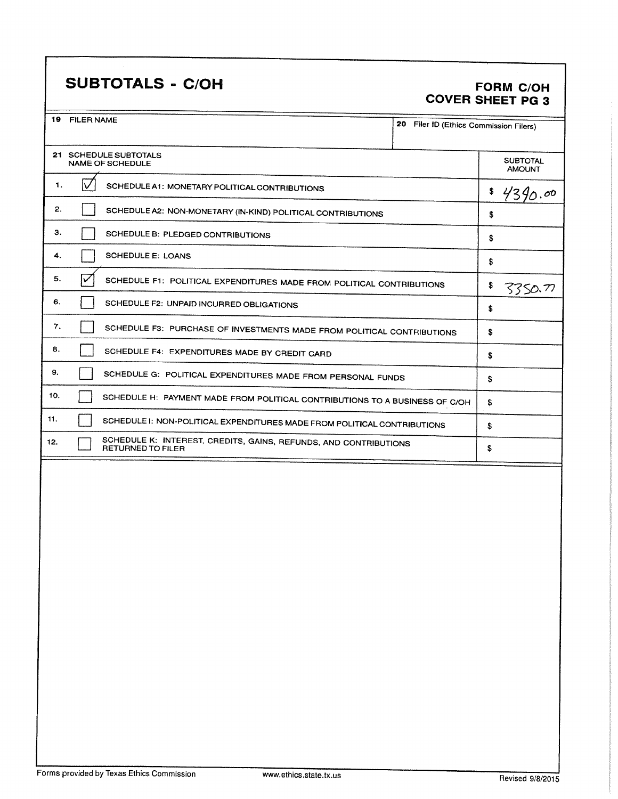# SUBTOTALS - C/OH FORM C/OH

# COVER SHEET PG 3

| 19  | <b>FILER NAME</b><br>20 Filer ID (Ethics Commission Filers)                                  |                                  |
|-----|----------------------------------------------------------------------------------------------|----------------------------------|
|     | 21 SCHEDULE SUBTOTALS<br>NAME OF SCHEDULE                                                    | <b>SUBTOTAL</b><br><b>AMOUNT</b> |
| 1.  | $\vee$<br>SCHEDULE A1: MONETARY POLITICAL CONTRIBUTIONS                                      | \$<br>4390.00                    |
| 2.  | SCHEDULE A2: NON-MONETARY (IN-KIND) POLITICAL CONTRIBUTIONS                                  | \$                               |
| з.  | SCHEDULE B: PLEDGED CONTRIBUTIONS                                                            | \$                               |
| 4.  | <b>SCHEDULE E: LOANS</b>                                                                     | \$                               |
| 5.  | $\checkmark$<br>SCHEDULE F1: POLITICAL EXPENDITURES MADE FROM POLITICAL CONTRIBUTIONS        | \$<br>33SO.77                    |
| 6.  | SCHEDULE F2: UNPAID INCURRED OBLIGATIONS                                                     | \$                               |
| 7.  | SCHEDULE F3: PURCHASE OF INVESTMENTS MADE FROM POLITICAL CONTRIBUTIONS                       | \$                               |
| 8.  | SCHEDULE F4: EXPENDITURES MADE BY CREDIT CARD                                                | \$                               |
| 9.  | SCHEDULE G: POLITICAL EXPENDITURES MADE FROM PERSONAL FUNDS                                  | \$                               |
| 10. | SCHEDULE H: PAYMENT MADE FROM POLITICAL CONTRIBUTIONS TO A BUSINESS OF C/OH                  | \$                               |
| 11. | SCHEDULE I: NON-POLITICAL EXPENDITURES MADE FROM POLITICAL CONTRIBUTIONS                     | \$                               |
| 12. | SCHEDULE K: INTEREST, CREDITS, GAINS, REFUNDS, AND CONTRIBUTIONS<br><b>RETURNED TO FILER</b> | \$                               |
|     |                                                                                              |                                  |
|     |                                                                                              |                                  |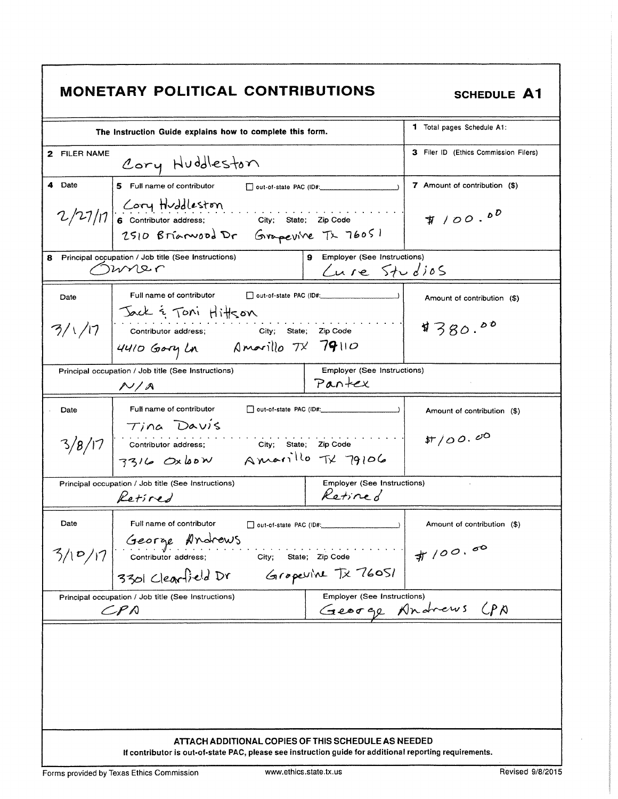| <b>MONETARY POLITICAL CONTRIBUTIONS</b><br><b>SCHEDULE A1</b>                                                                      |                                               |  |  |  |
|------------------------------------------------------------------------------------------------------------------------------------|-----------------------------------------------|--|--|--|
| The Instruction Guide explains how to complete this form.                                                                          | <b>1</b> Total pages Schedule A1:             |  |  |  |
| 2 FILER NAME<br>Cory Huddleston                                                                                                    | 3 Filer ID (Ethics Commission Filers)         |  |  |  |
| 4 Date<br>5 Full name of contributor and pout-of-state PAC (ID#:                                                                   | 7 Amount of contribution (\$)                 |  |  |  |
| 2/27/17 6 contributor address; city; state; zip code<br>2510 Brianwood Dr Grapevine Tx 76051                                       | $\# 100.00$                                   |  |  |  |
| Principal occupation / Job title (See Instructions)<br>8<br>mner                                                                   | 9 Employer (See Instructions)<br>Cure Studios |  |  |  |
| Full name of contributor<br>Date                                                                                                   | Amount of contribution (\$)                   |  |  |  |
| 3/1/17 Sack & Toni Hitlson<br>3/1/17 Contributor address: City; State; Zip Code<br>4410 Gory Ln Amarillo TX 79110                  | 4380.00                                       |  |  |  |
| <b>Employer (See Instructions)</b><br>Principal occupation / Job title (See Instructions)<br>Pantex<br>N/A                         |                                               |  |  |  |
| Full name of contributor<br>Date                                                                                                   | Amount of contribution (\$)                   |  |  |  |
| Tina Davis<br>$3/8/17$ Contributor address; City; State; Zip Code<br>3316 Oxbow Amarillo TX 79106                                  | \$7/00.00                                     |  |  |  |
| Employer (See Instructions)<br>Principal occupation / Job title (See Instructions)<br>Retired<br>Retired                           |                                               |  |  |  |
| Full name of contributor<br>Date<br>out-of-state PAC (ID#:                                                                         | Amount of contribution (\$)                   |  |  |  |
| George Andrews<br>Contributor address;<br>3/10/17<br>City;<br>State; Zip Code<br>3301 Clearfield Dr<br>Gropevine Tx 76051          | #100.00                                       |  |  |  |
| <b>Employer (See Instructions)</b><br>Principal occupation / Job title (See Instructions)<br>George Andrews CPA<br>$\mathcal{LPN}$ |                                               |  |  |  |
| ATTACH ADDITIONAL COPIES OF THIS SCHEDULE AS NEEDED                                                                                |                                               |  |  |  |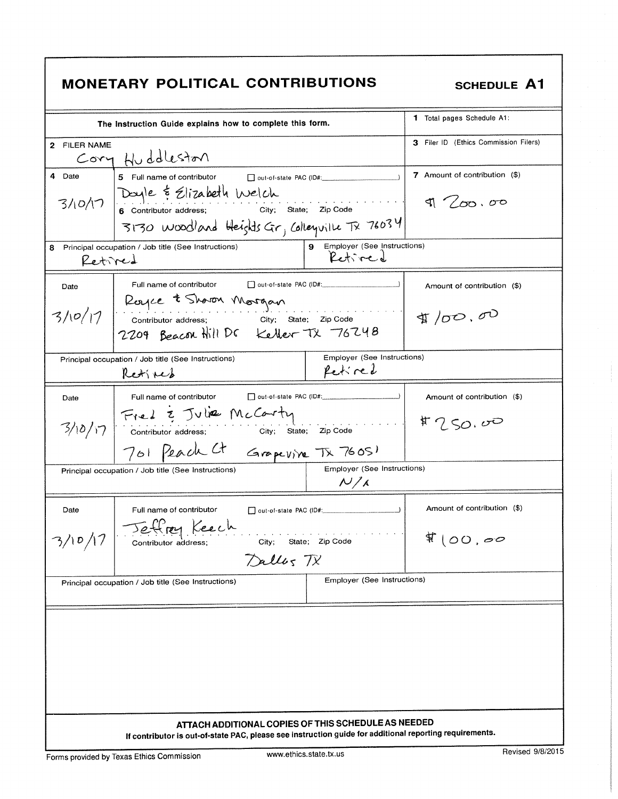|                                                                                                                                      | <b>MONETARY POLITICAL CONTRIBUTIONS</b>                                                                                                                                                   |                                          | <b>SCHEDULE A1</b>                           |  |
|--------------------------------------------------------------------------------------------------------------------------------------|-------------------------------------------------------------------------------------------------------------------------------------------------------------------------------------------|------------------------------------------|----------------------------------------------|--|
|                                                                                                                                      | The Instruction Guide explains how to complete this form.                                                                                                                                 |                                          | <b>1</b> Total pages Schedule A1:            |  |
| 2 FILER NAME                                                                                                                         | Cory Huddleston                                                                                                                                                                           |                                          | <b>3</b> Filer ID (Ethics Commission Filers) |  |
| 4 Date                                                                                                                               | 5 Full name of contributor<br>out-of-state PAC (ID#:<br>3/10/17 Doyle & Elizabeth Welch<br>6 contributor address; city; State; Zip Code<br>3130 woodland Heights Gr, Colleguille Tx 76034 |                                          | 7 Amount of contribution (\$)<br>1 / 00.00   |  |
| 8<br>Retired                                                                                                                         | Principal occupation / Job title (See Instructions)                                                                                                                                       | 9 Employer (See Instructions)<br>Retired |                                              |  |
| Date                                                                                                                                 | Full name of contributor                                                                                                                                                                  |                                          | Amount of contribution (\$)                  |  |
|                                                                                                                                      | 3/10/17 Royce t Shoron Morgan<br>3/10/17 Contributor address; City; State; Zip Code<br>2209 Beacon Hill DC Keller TX 76248                                                                |                                          | $\text{D}$ $\sigma$ , $\sigma$               |  |
|                                                                                                                                      | Principal occupation / Job title (See Instructions)<br>Retified                                                                                                                           | Employer (See Instructions)<br>Retired   |                                              |  |
| Date                                                                                                                                 | Full name of contributor<br>$3/10/17$ Fiel $\frac{1}{2}$ Julia McCorty<br>City; State; Zip Code                                                                                           |                                          | Amount of contribution (\$)<br>\$7.50.00     |  |
| 701 Peach Ct Grapevine TX 76051<br>Employer (See Instructions)<br>Principal occupation / Job title (See Instructions)<br>$N/\lambda$ |                                                                                                                                                                                           |                                          |                                              |  |
| Date<br>3/10/17                                                                                                                      | Full name of contributor<br>out-of-state PAC (ID#:<br>rey Keech<br>State: Zip Code<br>City;<br>Contributor address;<br>Dallos TX                                                          | $\Box$                                   | Amount of contribution (\$)<br>\$100,00      |  |
| Employer (See Instructions)<br>Principal occupation / Job title (See Instructions)                                                   |                                                                                                                                                                                           |                                          |                                              |  |
|                                                                                                                                      | ATTACH ADDITIONAL COPIES OF THIS SCHEDULE AS NEEDED                                                                                                                                       |                                          |                                              |  |
|                                                                                                                                      | If contributor is out-of-state PAC, please see instruction guide for additional reporting requirements.                                                                                   |                                          |                                              |  |

٦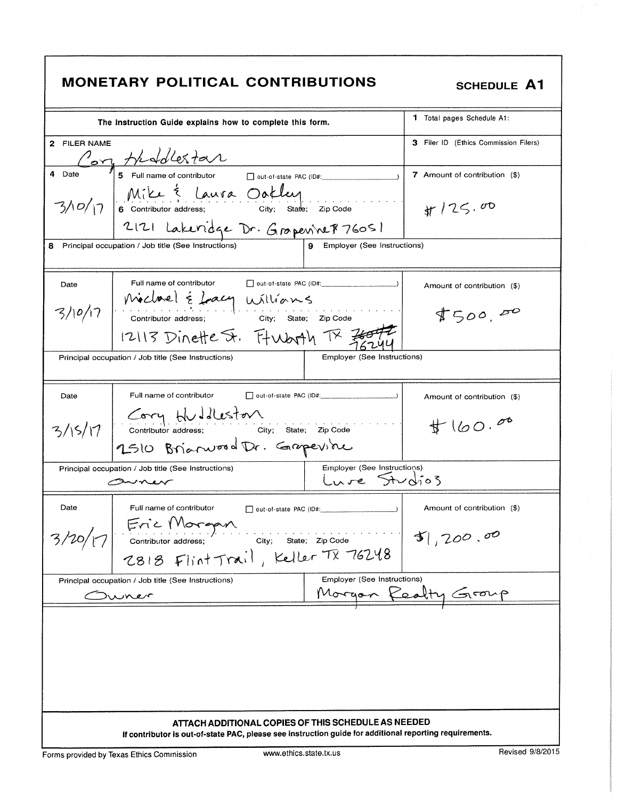|  | <b>MONETARY POLITICAL CONTRIBUTIONS</b> |
|--|-----------------------------------------|
|  |                                         |

| <b>MONETARY POLITICAL CONTRIBUTIONS</b><br><b>SCHEDULE A1</b> |                                                                                                                |                                             |                                       |
|---------------------------------------------------------------|----------------------------------------------------------------------------------------------------------------|---------------------------------------------|---------------------------------------|
|                                                               | The Instruction Guide explains how to complete this form.                                                      |                                             | <b>1</b> Total pages Schedule A1:     |
| 2 FILER NAME                                                  | Son Healester<br>5 Full name of contributor Dout-of-state PAC (ID#                                             |                                             | 3 Filer ID (Ethics Commission Filers) |
| 4 Date                                                        |                                                                                                                |                                             | 7 Amount of contribution (\$)         |
|                                                               | 3/10/17 Mike Élaura Oakley<br>3/10/17 6 contributor address; city: state: Zip Code                             |                                             | $\frac{1}{25}$ , 00                   |
|                                                               | 2121 Lakeridge Dr. Gropenne 876051<br>Principal occupation / Job title (See Instructions)                      | Employer (See Instructions)<br>9            |                                       |
| Date                                                          | Full name of contributor                                                                                       | $\Box$ out-of-state PAC (ID#: $\Box$ )      | Amount of contribution (\$)           |
|                                                               | $3/10/17$ Michael & Lacy Williams<br>contributor address; city; State; Zip Code                                |                                             | \$500,00                              |
|                                                               | 12113 Dinette St. Ft Worth TX 300                                                                              |                                             |                                       |
|                                                               | Principal occupation / Job title (See Instructions)                                                            | Employer (See Instructions)                 |                                       |
| Date                                                          | Full name of contributor                                                                                       |                                             | Amount of contribution (\$)           |
|                                                               | 3/15/17 Corry Huddleston<br>3/15/17 contributor address; city; state; zip code<br>2510 Brianwood Dr. Grapevine |                                             | #160.00                               |
|                                                               |                                                                                                                |                                             |                                       |
| swner                                                         | Principal occupation / Job title (See Instructions)                                                            | Employer (See Instructions)<br>Lure Studios |                                       |
| Date                                                          | Full name of contributor<br>out-of-state PAC (ID#:                                                             |                                             | Amount of contribution (\$)           |
|                                                               | 3/20/17 Eric Morgan<br>2818 Flint Trail, Keller TX 76248                                                       |                                             | 51,200.00                             |
| wrer                                                          | Principal occupation / Job title (See Instructions)                                                            | Employer (See Instructions)                 | Morgan Realty Group                   |
|                                                               | ATTACH ADDITIONAL COPIES OF THIS SCHEDULE AS NEEDED                                                            |                                             |                                       |
|                                                               | If contributor is out-of-state PAC, please see instruction guide for additional reporting requirements.        |                                             |                                       |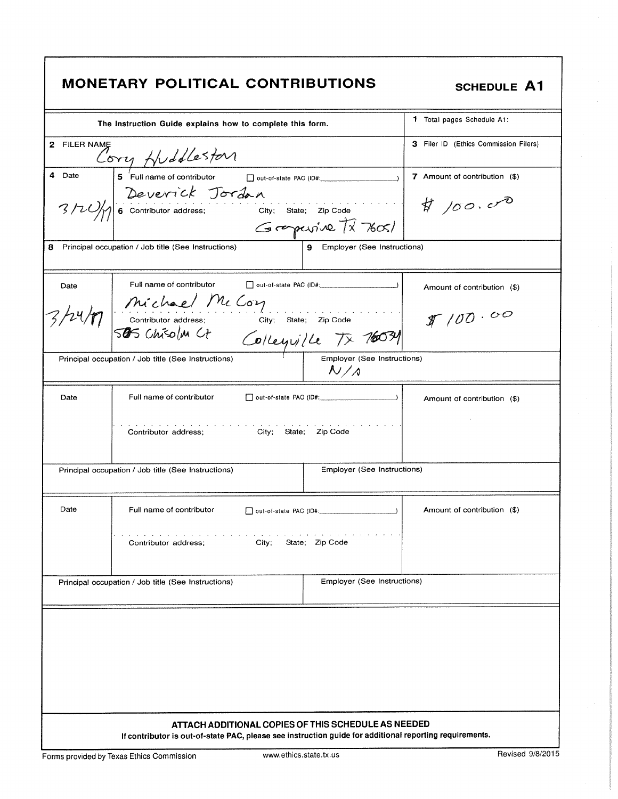|  |  |  | <b>MONETARY POLITICAL CONTRIBUTIONS</b> |
|--|--|--|-----------------------------------------|
|--|--|--|-----------------------------------------|

SCHEDULE A1

|                                                                                    | The Instruction Guide explains how to complete this form.                                               |                                                            | <b>1</b> Total pages Schedule A1:     |  |
|------------------------------------------------------------------------------------|---------------------------------------------------------------------------------------------------------|------------------------------------------------------------|---------------------------------------|--|
| 2 FILER NAME                                                                       | Cory Huddleston                                                                                         |                                                            | 3 Filer ID (Ethics Commission Filers) |  |
| 4 Date                                                                             | 5 Full name of contributor                                                                              | □ out-of-state PAC (ID#: 2000)                             | 7 Amount of contribution (\$)         |  |
|                                                                                    | Beverick Jordan<br>3/20/10 6 Contributor address; City; State; Zip Code                                 |                                                            | $\sharp$ 100.00                       |  |
|                                                                                    |                                                                                                         | Grepevine TX 76051                                         |                                       |  |
| 8                                                                                  | Principal occupation / Job title (See Instructions)                                                     | Employer (See Instructions)<br>9                           |                                       |  |
| Date                                                                               | Full name of contributor                                                                                |                                                            | Amount of contribution (\$)           |  |
|                                                                                    | 24/17 michael McCory<br>24/17 contributor address; city; State; Zip Code<br>505 Chisolm Ct              |                                                            | \$100.00                              |  |
|                                                                                    | Principal occupation / Job title (See Instructions)                                                     | Collegialle TX 76031<br>Employer (See Instructions)<br>N/A |                                       |  |
| Date                                                                               | Full name of contributor                                                                                | out-of-state PAC (ID#:                                     | Amount of contribution (\$)           |  |
|                                                                                    | a construction of the con-<br>City; State; Zip Code<br>Contributor address;                             |                                                            |                                       |  |
| Employer (See Instructions)<br>Principal occupation / Job title (See Instructions) |                                                                                                         |                                                            |                                       |  |
| Date                                                                               | Full name of contributor                                                                                |                                                            | Amount of contribution (\$)           |  |
|                                                                                    | City;<br>Contributor address;                                                                           | State; Zip Code                                            |                                       |  |
|                                                                                    | Principal occupation / Job title (See Instructions)                                                     | Employer (See Instructions)                                |                                       |  |
|                                                                                    |                                                                                                         |                                                            |                                       |  |
|                                                                                    |                                                                                                         |                                                            |                                       |  |
|                                                                                    |                                                                                                         |                                                            |                                       |  |
|                                                                                    |                                                                                                         |                                                            |                                       |  |
|                                                                                    |                                                                                                         |                                                            |                                       |  |
|                                                                                    |                                                                                                         |                                                            |                                       |  |
|                                                                                    | ATTACH ADDITIONAL COPIES OF THIS SCHEDULE AS NEEDED                                                     |                                                            |                                       |  |
|                                                                                    | If contributor is out-of-state PAC, please see instruction guide for additional reporting requirements. |                                                            |                                       |  |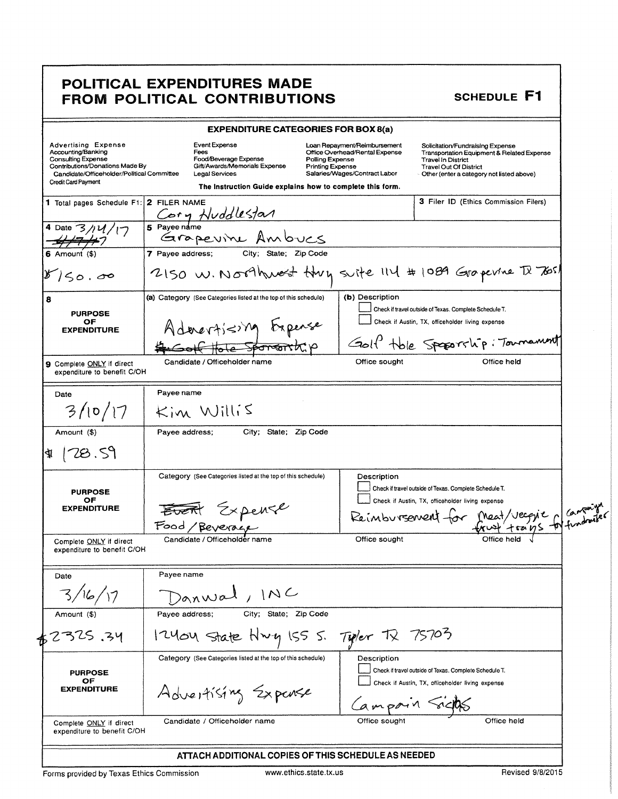### POLITICAL EXPENDITURES MADE FROM POLITICAL CONTRIBUTIONS

|                                                                                                                                                                                       | <b>EXPENDITURE CATEGORIES FOR BOX 8(a)</b>                                                                                                                                   |                                                                                                                                               |                                                                                                                                                                                                        |  |
|---------------------------------------------------------------------------------------------------------------------------------------------------------------------------------------|------------------------------------------------------------------------------------------------------------------------------------------------------------------------------|-----------------------------------------------------------------------------------------------------------------------------------------------|--------------------------------------------------------------------------------------------------------------------------------------------------------------------------------------------------------|--|
| <b>Advertising Expense</b><br>Accounting/Banking<br><b>Consulting Expense</b><br>Contributions/Donations Made By<br>Candidate/Officeholder/Political Committee<br>Credit Card Payment | <b>Event Expense</b><br>Fees<br>Food/Beverage Expense<br>Gift/Awards/Memorials Expense<br><b>Legal Services</b><br>The instruction Guide explains how to complete this form. | Loan Repayment/Reimbursement<br>Office Overhead/Rental Expense<br>Polling Expense<br><b>Printing Expense</b><br>Salaries/Wages/Contract Labor | Solicitation/Fundraising Expense<br><b>Transportation Equipment &amp; Related Expense</b><br><b>Travel In District</b><br><b>Travel Out Of District</b><br>- Other (enter a category not listed above) |  |
| 1 Total pages Schedule F1: 2 FILER NAME                                                                                                                                               |                                                                                                                                                                              |                                                                                                                                               | 3 Filer ID (Ethics Commission Filers)                                                                                                                                                                  |  |
|                                                                                                                                                                                       | Cory Huddlestar                                                                                                                                                              |                                                                                                                                               |                                                                                                                                                                                                        |  |
| 4 Date $3/14/$                                                                                                                                                                        | Grapevine Ambucs                                                                                                                                                             |                                                                                                                                               |                                                                                                                                                                                                        |  |
| 6 Amount (\$)                                                                                                                                                                         | City; State; Zip Code<br>7 Payee address;                                                                                                                                    |                                                                                                                                               |                                                                                                                                                                                                        |  |
| 150,00                                                                                                                                                                                | 2150 W. Northwest Huy suite 114 # 1089 Grapevine TX 7651                                                                                                                     |                                                                                                                                               |                                                                                                                                                                                                        |  |
| 8                                                                                                                                                                                     | (a) Category (See Categories listed at the top of this schedule)                                                                                                             | (b) Description                                                                                                                               |                                                                                                                                                                                                        |  |
| <b>PURPOSE</b>                                                                                                                                                                        |                                                                                                                                                                              |                                                                                                                                               | Check if travel outside of Texas. Complete Schedule T.                                                                                                                                                 |  |
| ОF<br><b>EXPENDITURE</b>                                                                                                                                                              | Adevertising Expense                                                                                                                                                         |                                                                                                                                               | Check if Austin, TX, officeholder living expense                                                                                                                                                       |  |
|                                                                                                                                                                                       |                                                                                                                                                                              |                                                                                                                                               | Golf tole Speparchip: Townsmunt                                                                                                                                                                        |  |
| 9 Complete ONLY if direct<br>expenditure to benefit C/OH                                                                                                                              | Candidate / Officeholder name                                                                                                                                                | Office sought                                                                                                                                 | Office held                                                                                                                                                                                            |  |
| Date                                                                                                                                                                                  | Payee name                                                                                                                                                                   |                                                                                                                                               |                                                                                                                                                                                                        |  |
| 3/10/17                                                                                                                                                                               | $Kim$ Willis                                                                                                                                                                 |                                                                                                                                               |                                                                                                                                                                                                        |  |
| Amount (\$)                                                                                                                                                                           | City; State; Zip Code<br>Payee address;                                                                                                                                      |                                                                                                                                               |                                                                                                                                                                                                        |  |
| [78.59]<br>41                                                                                                                                                                         |                                                                                                                                                                              |                                                                                                                                               |                                                                                                                                                                                                        |  |
|                                                                                                                                                                                       | Category (See Categories listed at the top of this schedule)                                                                                                                 | Description                                                                                                                                   |                                                                                                                                                                                                        |  |
| <b>PURPOSE</b>                                                                                                                                                                        |                                                                                                                                                                              |                                                                                                                                               | Check if travel outside of Texas. Complete Schedule T.                                                                                                                                                 |  |
| ОF<br><b>EXPENDITURE</b>                                                                                                                                                              |                                                                                                                                                                              |                                                                                                                                               | Check if Austin, TX, officeholder living expense                                                                                                                                                       |  |
|                                                                                                                                                                                       | Event Expense                                                                                                                                                                |                                                                                                                                               | Reimbursement for Meat/vecque a Cantaire                                                                                                                                                               |  |
| Complete ONLY if direct<br>expenditure to benefit C/OH                                                                                                                                | Candidate / Officeholder name                                                                                                                                                | Office sought                                                                                                                                 |                                                                                                                                                                                                        |  |
| Date                                                                                                                                                                                  | Payee name                                                                                                                                                                   |                                                                                                                                               |                                                                                                                                                                                                        |  |
|                                                                                                                                                                                       | anwal, INC                                                                                                                                                                   |                                                                                                                                               |                                                                                                                                                                                                        |  |
| Amount (\$)                                                                                                                                                                           | City; State; Zip Code<br>Payee address;                                                                                                                                      |                                                                                                                                               |                                                                                                                                                                                                        |  |
| 2325.34                                                                                                                                                                               | 12404 State Hwy ISS S.                                                                                                                                                       | Typer TX                                                                                                                                      | 75705                                                                                                                                                                                                  |  |
|                                                                                                                                                                                       | Category (See Categories listed at the top of this schedule)                                                                                                                 | Description                                                                                                                                   | Check if travel outside of Texas. Complete Schedule T.                                                                                                                                                 |  |
| <b>PURPOSE</b>                                                                                                                                                                        |                                                                                                                                                                              |                                                                                                                                               | Check if Austin, TX, officeholder living expense                                                                                                                                                       |  |
| ОF<br><b>EXPENDITURE</b>                                                                                                                                                              | Advertising Expense                                                                                                                                                          |                                                                                                                                               |                                                                                                                                                                                                        |  |
|                                                                                                                                                                                       |                                                                                                                                                                              |                                                                                                                                               |                                                                                                                                                                                                        |  |
| Complete ONLY if direct<br>expenditure to benefit C/OH                                                                                                                                | Candidate / Officeholder name                                                                                                                                                | Office sought                                                                                                                                 | Office held                                                                                                                                                                                            |  |

Forms provided by Texas Ethics Commission

SCHEDULE F1